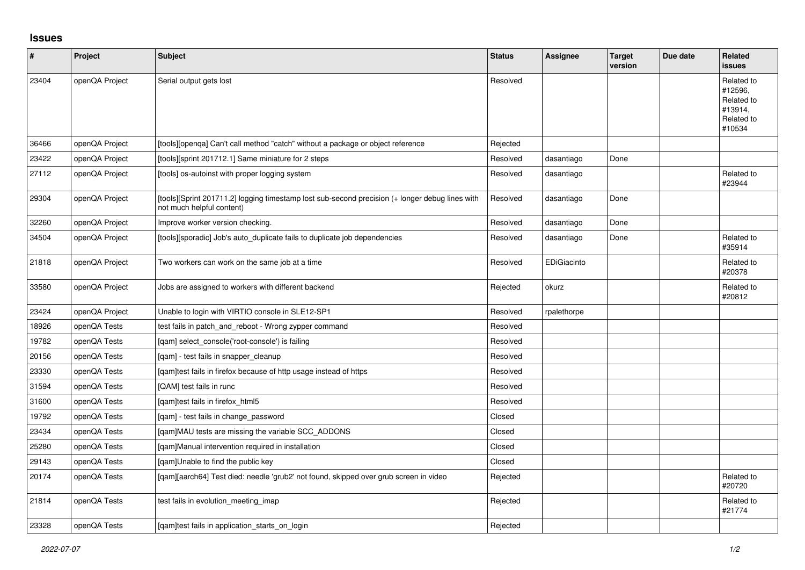## **Issues**

| #     | Project        | <b>Subject</b>                                                                                                               | <b>Status</b> | Assignee    | <b>Target</b><br>version | Due date | <b>Related</b><br><b>issues</b>                                        |
|-------|----------------|------------------------------------------------------------------------------------------------------------------------------|---------------|-------------|--------------------------|----------|------------------------------------------------------------------------|
| 23404 | openQA Project | Serial output gets lost                                                                                                      | Resolved      |             |                          |          | Related to<br>#12596,<br>Related to<br>#13914,<br>Related to<br>#10534 |
| 36466 | openQA Project | [tools][openqa] Can't call method "catch" without a package or object reference                                              | Rejected      |             |                          |          |                                                                        |
| 23422 | openQA Project | [tools][sprint 201712.1] Same miniature for 2 steps                                                                          | Resolved      | dasantiago  | Done                     |          |                                                                        |
| 27112 | openQA Project | [tools] os-autoinst with proper logging system                                                                               | Resolved      | dasantiago  |                          |          | Related to<br>#23944                                                   |
| 29304 | openQA Project | [tools][Sprint 201711.2] logging timestamp lost sub-second precision (+ longer debug lines with<br>not much helpful content) | Resolved      | dasantiago  | Done                     |          |                                                                        |
| 32260 | openQA Project | Improve worker version checking.                                                                                             | Resolved      | dasantiago  | Done                     |          |                                                                        |
| 34504 | openQA Project | [tools][sporadic] Job's auto_duplicate fails to duplicate job dependencies                                                   | Resolved      | dasantiago  | Done                     |          | Related to<br>#35914                                                   |
| 21818 | openQA Project | Two workers can work on the same job at a time                                                                               | Resolved      | EDiGiacinto |                          |          | Related to<br>#20378                                                   |
| 33580 | openQA Project | Jobs are assigned to workers with different backend                                                                          | Rejected      | okurz       |                          |          | Related to<br>#20812                                                   |
| 23424 | openQA Project | Unable to login with VIRTIO console in SLE12-SP1                                                                             | Resolved      | rpalethorpe |                          |          |                                                                        |
| 18926 | openQA Tests   | test fails in patch and reboot - Wrong zypper command                                                                        | Resolved      |             |                          |          |                                                                        |
| 19782 | openQA Tests   | [qam] select_console('root-console') is failing                                                                              | Resolved      |             |                          |          |                                                                        |
| 20156 | openQA Tests   | [qam] - test fails in snapper_cleanup                                                                                        | Resolved      |             |                          |          |                                                                        |
| 23330 | openQA Tests   | [gam]test fails in firefox because of http usage instead of https                                                            | Resolved      |             |                          |          |                                                                        |
| 31594 | openQA Tests   | [QAM] test fails in runc                                                                                                     | Resolved      |             |                          |          |                                                                        |
| 31600 | openQA Tests   | [qam]test fails in firefox_html5                                                                                             | Resolved      |             |                          |          |                                                                        |
| 19792 | openQA Tests   | [qam] - test fails in change_password                                                                                        | Closed        |             |                          |          |                                                                        |
| 23434 | openQA Tests   | [qam]MAU tests are missing the variable SCC_ADDONS                                                                           | Closed        |             |                          |          |                                                                        |
| 25280 | openQA Tests   | [qam]Manual intervention required in installation                                                                            | Closed        |             |                          |          |                                                                        |
| 29143 | openQA Tests   | [gam]Unable to find the public key                                                                                           | Closed        |             |                          |          |                                                                        |
| 20174 | openQA Tests   | [qam][aarch64] Test died: needle 'grub2' not found, skipped over grub screen in video                                        | Rejected      |             |                          |          | Related to<br>#20720                                                   |
| 21814 | openQA Tests   | test fails in evolution meeting imap                                                                                         | Rejected      |             |                          |          | Related to<br>#21774                                                   |
| 23328 | openQA Tests   | [gam]test fails in application starts on login                                                                               | Rejected      |             |                          |          |                                                                        |